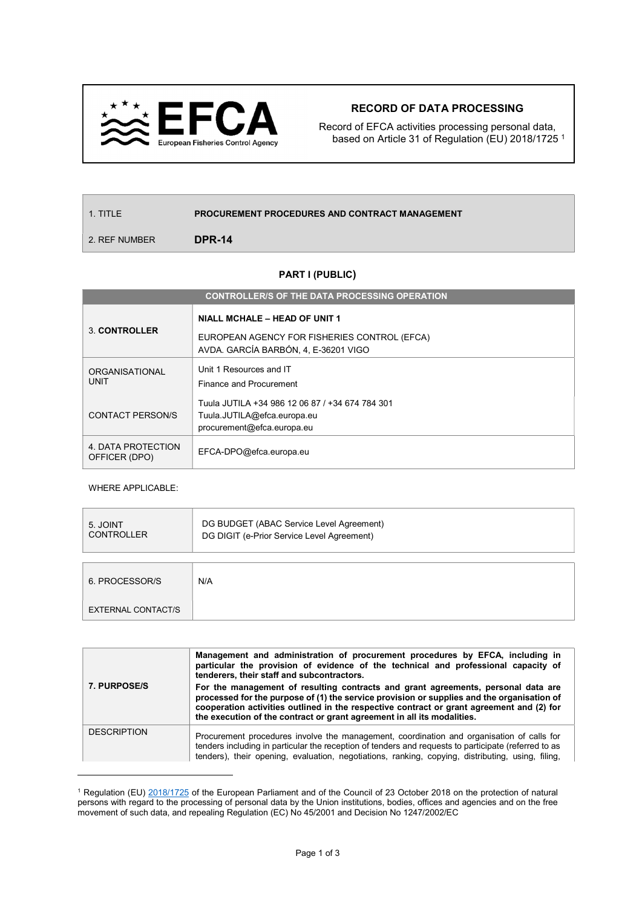

## RECORD OF DATA PROCESSING

Record of EFCA activities processing personal data, based on Article 31 of Regulation (EU) 2018/1725 <sup>1</sup>

| 1. TITLE      | <b>PROCUREMENT PROCEDURES AND CONTRACT MANAGEMENT</b> |  |
|---------------|-------------------------------------------------------|--|
| 2. REF NUMBER | DPR-14                                                |  |

## PART I (PUBLIC)

| <b>CONTROLLER/S OF THE DATA PROCESSING OPERATION</b> |                                                                                                                              |  |  |
|------------------------------------------------------|------------------------------------------------------------------------------------------------------------------------------|--|--|
| 3 CONTROLLER                                         | <b>NIALL MCHALE - HEAD OF UNIT 1</b><br>EUROPEAN AGENCY FOR FISHERIES CONTROL (EFCA)<br>AVDA. GARCÍA BARBÓN, 4, E-36201 VIGO |  |  |
| <b>ORGANISATIONAL</b><br>UNIT                        | Unit 1 Resources and IT<br>Finance and Procurement                                                                           |  |  |
| CONTACT PERSON/S                                     | Tuula JUTILA +34 986 12 06 87 / +34 674 784 301<br>Tuula.JUTILA@efca.europa.eu<br>procurement@efca.europa.eu                 |  |  |
| 4. DATA PROTECTION<br>OFFICER (DPO)                  | EFCA-DPO@efca.europa.eu                                                                                                      |  |  |

WHERE APPLICABLE:

 $\overline{a}$ 

| 5. JOINT<br><b>CONTROLLER</b> | DG BUDGET (ABAC Service Level Agreement)<br>DG DIGIT (e-Prior Service Level Agreement) |  |
|-------------------------------|----------------------------------------------------------------------------------------|--|
|                               |                                                                                        |  |
| 6. PROCESSOR/S                | N/A                                                                                    |  |
| EXTERNAL CONTACT/S            |                                                                                        |  |

|                    | Management and administration of procurement procedures by EFCA, including in<br>particular the provision of evidence of the technical and professional capacity of<br>tenderers, their staff and subcontractors.                                                                                                                                       |  |
|--------------------|---------------------------------------------------------------------------------------------------------------------------------------------------------------------------------------------------------------------------------------------------------------------------------------------------------------------------------------------------------|--|
| 7. PURPOSE/S       | For the management of resulting contracts and grant agreements, personal data are<br>processed for the purpose of (1) the service provision or supplies and the organisation of<br>cooperation activities outlined in the respective contract or grant agreement and (2) for<br>the execution of the contract or grant agreement in all its modalities. |  |
| <b>DESCRIPTION</b> | Procurement procedures involve the management, coordination and organisation of calls for<br>tenders including in particular the reception of tenders and requests to participate (referred to as<br>tenders), their opening, evaluation, negotiations, ranking, copying, distributing, using, filing,                                                  |  |

<sup>&</sup>lt;sup>1</sup> Regulation (EU) 2018/1725 of the European Parliament and of the Council of 23 October 2018 on the protection of natural persons with regard to the processing of personal data by the Union institutions, bodies, offices and agencies and on the free movement of such data, and repealing Regulation (EC) No 45/2001 and Decision No 1247/2002/EC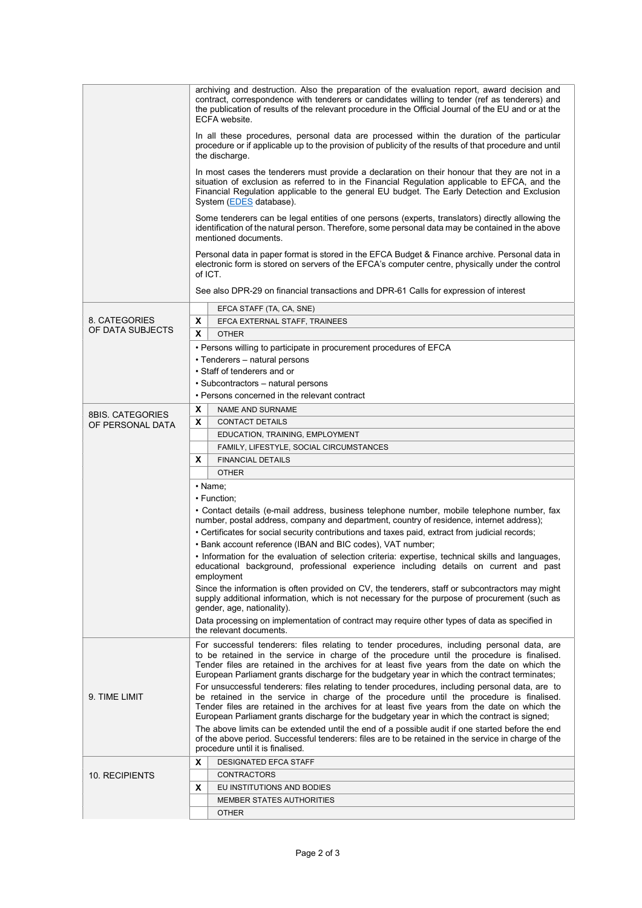|                                   | archiving and destruction. Also the preparation of the evaluation report, award decision and<br>contract, correspondence with tenderers or candidates willing to tender (ref as tenderers) and<br>the publication of results of the relevant procedure in the Official Journal of the EU and or at the<br>ECFA website.<br>In all these procedures, personal data are processed within the duration of the particular<br>procedure or if applicable up to the provision of publicity of the results of that procedure and until<br>the discharge.<br>In most cases the tenderers must provide a declaration on their honour that they are not in a<br>situation of exclusion as referred to in the Financial Regulation applicable to EFCA, and the<br>Financial Regulation applicable to the general EU budget. The Early Detection and Exclusion<br>System (EDES database).<br>Some tenderers can be legal entities of one persons (experts, translators) directly allowing the<br>identification of the natural person. Therefore, some personal data may be contained in the above<br>mentioned documents.<br>Personal data in paper format is stored in the EFCA Budget & Finance archive. Personal data in<br>electronic form is stored on servers of the EFCA's computer centre, physically under the control<br>of ICT.<br>See also DPR-29 on financial transactions and DPR-61 Calls for expression of interest |  |  |  |
|-----------------------------------|--------------------------------------------------------------------------------------------------------------------------------------------------------------------------------------------------------------------------------------------------------------------------------------------------------------------------------------------------------------------------------------------------------------------------------------------------------------------------------------------------------------------------------------------------------------------------------------------------------------------------------------------------------------------------------------------------------------------------------------------------------------------------------------------------------------------------------------------------------------------------------------------------------------------------------------------------------------------------------------------------------------------------------------------------------------------------------------------------------------------------------------------------------------------------------------------------------------------------------------------------------------------------------------------------------------------------------------------------------------------------------------------------------------------------|--|--|--|
|                                   |                                                                                                                                                                                                                                                                                                                                                                                                                                                                                                                                                                                                                                                                                                                                                                                                                                                                                                                                                                                                                                                                                                                                                                                                                                                                                                                                                                                                                          |  |  |  |
|                                   | EFCA STAFF (TA, CA, SNE)                                                                                                                                                                                                                                                                                                                                                                                                                                                                                                                                                                                                                                                                                                                                                                                                                                                                                                                                                                                                                                                                                                                                                                                                                                                                                                                                                                                                 |  |  |  |
| 8. CATEGORIES<br>OF DATA SUBJECTS | X<br>EFCA EXTERNAL STAFF, TRAINEES                                                                                                                                                                                                                                                                                                                                                                                                                                                                                                                                                                                                                                                                                                                                                                                                                                                                                                                                                                                                                                                                                                                                                                                                                                                                                                                                                                                       |  |  |  |
|                                   | X<br><b>OTHER</b>                                                                                                                                                                                                                                                                                                                                                                                                                                                                                                                                                                                                                                                                                                                                                                                                                                                                                                                                                                                                                                                                                                                                                                                                                                                                                                                                                                                                        |  |  |  |
|                                   | • Persons willing to participate in procurement procedures of EFCA                                                                                                                                                                                                                                                                                                                                                                                                                                                                                                                                                                                                                                                                                                                                                                                                                                                                                                                                                                                                                                                                                                                                                                                                                                                                                                                                                       |  |  |  |
|                                   | • Tenderers – natural persons<br>• Staff of tenderers and or                                                                                                                                                                                                                                                                                                                                                                                                                                                                                                                                                                                                                                                                                                                                                                                                                                                                                                                                                                                                                                                                                                                                                                                                                                                                                                                                                             |  |  |  |
|                                   | • Subcontractors – natural persons                                                                                                                                                                                                                                                                                                                                                                                                                                                                                                                                                                                                                                                                                                                                                                                                                                                                                                                                                                                                                                                                                                                                                                                                                                                                                                                                                                                       |  |  |  |
|                                   | • Persons concerned in the relevant contract                                                                                                                                                                                                                                                                                                                                                                                                                                                                                                                                                                                                                                                                                                                                                                                                                                                                                                                                                                                                                                                                                                                                                                                                                                                                                                                                                                             |  |  |  |
|                                   | X<br><b>NAME AND SURNAME</b>                                                                                                                                                                                                                                                                                                                                                                                                                                                                                                                                                                                                                                                                                                                                                                                                                                                                                                                                                                                                                                                                                                                                                                                                                                                                                                                                                                                             |  |  |  |
| <b>8BIS. CATEGORIES</b>           | X<br><b>CONTACT DETAILS</b>                                                                                                                                                                                                                                                                                                                                                                                                                                                                                                                                                                                                                                                                                                                                                                                                                                                                                                                                                                                                                                                                                                                                                                                                                                                                                                                                                                                              |  |  |  |
| OF PERSONAL DATA                  | EDUCATION, TRAINING, EMPLOYMENT                                                                                                                                                                                                                                                                                                                                                                                                                                                                                                                                                                                                                                                                                                                                                                                                                                                                                                                                                                                                                                                                                                                                                                                                                                                                                                                                                                                          |  |  |  |
|                                   | FAMILY, LIFESTYLE, SOCIAL CIRCUMSTANCES                                                                                                                                                                                                                                                                                                                                                                                                                                                                                                                                                                                                                                                                                                                                                                                                                                                                                                                                                                                                                                                                                                                                                                                                                                                                                                                                                                                  |  |  |  |
|                                   | X<br><b>FINANCIAL DETAILS</b>                                                                                                                                                                                                                                                                                                                                                                                                                                                                                                                                                                                                                                                                                                                                                                                                                                                                                                                                                                                                                                                                                                                                                                                                                                                                                                                                                                                            |  |  |  |
|                                   | <b>OTHER</b>                                                                                                                                                                                                                                                                                                                                                                                                                                                                                                                                                                                                                                                                                                                                                                                                                                                                                                                                                                                                                                                                                                                                                                                                                                                                                                                                                                                                             |  |  |  |
|                                   | • Name;                                                                                                                                                                                                                                                                                                                                                                                                                                                                                                                                                                                                                                                                                                                                                                                                                                                                                                                                                                                                                                                                                                                                                                                                                                                                                                                                                                                                                  |  |  |  |
|                                   | • Function;                                                                                                                                                                                                                                                                                                                                                                                                                                                                                                                                                                                                                                                                                                                                                                                                                                                                                                                                                                                                                                                                                                                                                                                                                                                                                                                                                                                                              |  |  |  |
|                                   | • Contact details (e-mail address, business telephone number, mobile telephone number, fax<br>number, postal address, company and department, country of residence, internet address);<br>• Certificates for social security contributions and taxes paid, extract from judicial records;<br>• Bank account reference (IBAN and BIC codes), VAT number;                                                                                                                                                                                                                                                                                                                                                                                                                                                                                                                                                                                                                                                                                                                                                                                                                                                                                                                                                                                                                                                                  |  |  |  |
|                                   | • Information for the evaluation of selection criteria: expertise, technical skills and languages,<br>educational background, professional experience including details on current and past<br>employment                                                                                                                                                                                                                                                                                                                                                                                                                                                                                                                                                                                                                                                                                                                                                                                                                                                                                                                                                                                                                                                                                                                                                                                                                |  |  |  |
|                                   | Since the information is often provided on CV, the tenderers, staff or subcontractors may might<br>supply additional information, which is not necessary for the purpose of procurement (such as<br>gender, age, nationality).                                                                                                                                                                                                                                                                                                                                                                                                                                                                                                                                                                                                                                                                                                                                                                                                                                                                                                                                                                                                                                                                                                                                                                                           |  |  |  |
|                                   | Data processing on implementation of contract may require other types of data as specified in<br>the relevant documents.                                                                                                                                                                                                                                                                                                                                                                                                                                                                                                                                                                                                                                                                                                                                                                                                                                                                                                                                                                                                                                                                                                                                                                                                                                                                                                 |  |  |  |
| 9. TIME LIMIT                     | For successful tenderers: files relating to tender procedures, including personal data, are<br>to be retained in the service in charge of the procedure until the procedure is finalised.<br>Tender files are retained in the archives for at least five years from the date on which the<br>European Parliament grants discharge for the budgetary year in which the contract terminates;<br>For unsuccessful tenderers: files relating to tender procedures, including personal data, are to<br>be retained in the service in charge of the procedure until the procedure is finalised.<br>Tender files are retained in the archives for at least five years from the date on which the<br>European Parliament grants discharge for the budgetary year in which the contract is signed;                                                                                                                                                                                                                                                                                                                                                                                                                                                                                                                                                                                                                                |  |  |  |
|                                   | The above limits can be extended until the end of a possible audit if one started before the end<br>of the above period. Successful tenderers: files are to be retained in the service in charge of the<br>procedure until it is finalised.                                                                                                                                                                                                                                                                                                                                                                                                                                                                                                                                                                                                                                                                                                                                                                                                                                                                                                                                                                                                                                                                                                                                                                              |  |  |  |
|                                   | X<br><b>DESIGNATED EFCA STAFF</b>                                                                                                                                                                                                                                                                                                                                                                                                                                                                                                                                                                                                                                                                                                                                                                                                                                                                                                                                                                                                                                                                                                                                                                                                                                                                                                                                                                                        |  |  |  |
| 10. RECIPIENTS                    | CONTRACTORS                                                                                                                                                                                                                                                                                                                                                                                                                                                                                                                                                                                                                                                                                                                                                                                                                                                                                                                                                                                                                                                                                                                                                                                                                                                                                                                                                                                                              |  |  |  |
|                                   | X<br>EU INSTITUTIONS AND BODIES                                                                                                                                                                                                                                                                                                                                                                                                                                                                                                                                                                                                                                                                                                                                                                                                                                                                                                                                                                                                                                                                                                                                                                                                                                                                                                                                                                                          |  |  |  |
|                                   | <b>MEMBER STATES AUTHORITIES</b>                                                                                                                                                                                                                                                                                                                                                                                                                                                                                                                                                                                                                                                                                                                                                                                                                                                                                                                                                                                                                                                                                                                                                                                                                                                                                                                                                                                         |  |  |  |
|                                   | <b>OTHER</b>                                                                                                                                                                                                                                                                                                                                                                                                                                                                                                                                                                                                                                                                                                                                                                                                                                                                                                                                                                                                                                                                                                                                                                                                                                                                                                                                                                                                             |  |  |  |